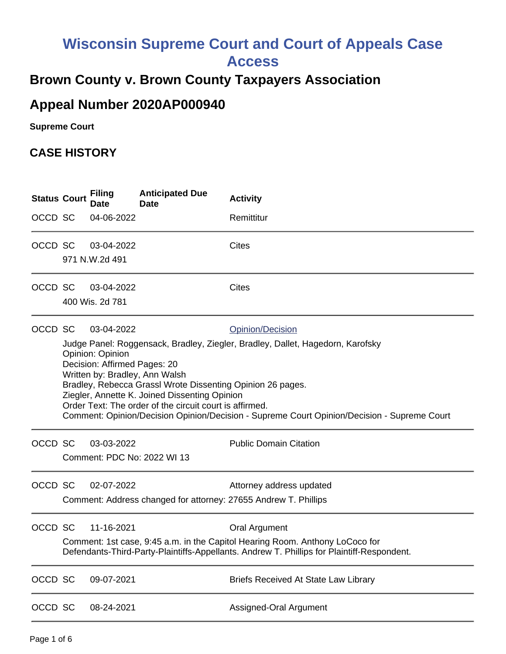## **Wisconsin Supreme Court and Court of Appeals Case Access**

## **Brown County v. Brown County Taxpayers Association**

## **Appeal Number 2020AP000940**

**Supreme Court** 

## **CASE HISTORY**

| <b>Status Court</b> |                                                                                                                                                                                                                                                                                                                                                                                                                                                                                 | <b>Filing</b><br>Date         | <b>Anticipated Due</b><br><b>Date</b> | <b>Activity</b>                                                                             |
|---------------------|---------------------------------------------------------------------------------------------------------------------------------------------------------------------------------------------------------------------------------------------------------------------------------------------------------------------------------------------------------------------------------------------------------------------------------------------------------------------------------|-------------------------------|---------------------------------------|---------------------------------------------------------------------------------------------|
| OCCD SC             |                                                                                                                                                                                                                                                                                                                                                                                                                                                                                 | 04-06-2022                    |                                       | Remittitur                                                                                  |
| OCCD SC             |                                                                                                                                                                                                                                                                                                                                                                                                                                                                                 | 03-04-2022<br>971 N.W.2d 491  |                                       | <b>Cites</b>                                                                                |
| OCCD SC             |                                                                                                                                                                                                                                                                                                                                                                                                                                                                                 | 03-04-2022<br>400 Wis. 2d 781 |                                       | <b>Cites</b>                                                                                |
| OCCD SC             | 03-04-2022<br>Opinion/Decision<br>Judge Panel: Roggensack, Bradley, Ziegler, Bradley, Dallet, Hagedorn, Karofsky<br>Opinion: Opinion<br>Decision: Affirmed Pages: 20<br>Written by: Bradley, Ann Walsh<br>Bradley, Rebecca Grassl Wrote Dissenting Opinion 26 pages.<br>Ziegler, Annette K. Joined Dissenting Opinion<br>Order Text: The order of the circuit court is affirmed.<br>Comment: Opinion/Decision Opinion/Decision - Supreme Court Opinion/Decision - Supreme Court |                               |                                       |                                                                                             |
| OCCD SC             |                                                                                                                                                                                                                                                                                                                                                                                                                                                                                 | 03-03-2022                    | Comment: PDC No: 2022 WI 13           | <b>Public Domain Citation</b>                                                               |
| OCCD SC             |                                                                                                                                                                                                                                                                                                                                                                                                                                                                                 | 02-07-2022                    |                                       | Attorney address updated<br>Comment: Address changed for attorney: 27655 Andrew T. Phillips |
| OCCD SC             | 11-16-2021<br><b>Oral Argument</b><br>Comment: 1st case, 9:45 a.m. in the Capitol Hearing Room. Anthony LoCoco for<br>Defendants-Third-Party-Plaintiffs-Appellants. Andrew T. Phillips for Plaintiff-Respondent.                                                                                                                                                                                                                                                                |                               |                                       |                                                                                             |
| OCCD SC             |                                                                                                                                                                                                                                                                                                                                                                                                                                                                                 | 09-07-2021                    |                                       | Briefs Received At State Law Library                                                        |
| OCCD SC             |                                                                                                                                                                                                                                                                                                                                                                                                                                                                                 | 08-24-2021                    |                                       | Assigned-Oral Argument                                                                      |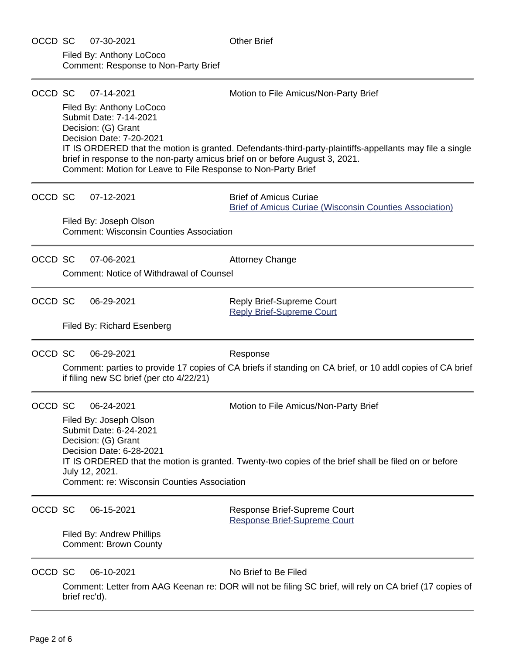| OCCD SC | 07-30-2021                                                                                                                                                                   | <b>Other Brief</b>                                                                                                                                                                       |  |  |  |  |
|---------|------------------------------------------------------------------------------------------------------------------------------------------------------------------------------|------------------------------------------------------------------------------------------------------------------------------------------------------------------------------------------|--|--|--|--|
|         | Filed By: Anthony LoCoco<br><b>Comment: Response to Non-Party Brief</b>                                                                                                      |                                                                                                                                                                                          |  |  |  |  |
| OCCD SC | 07-14-2021                                                                                                                                                                   | Motion to File Amicus/Non-Party Brief                                                                                                                                                    |  |  |  |  |
|         | Filed By: Anthony LoCoco<br>Submit Date: 7-14-2021<br>Decision: (G) Grant<br>Decision Date: 7-20-2021<br>Comment: Motion for Leave to File Response to Non-Party Brief       | IT IS ORDERED that the motion is granted. Defendants-third-party-plaintiffs-appellants may file a single<br>brief in response to the non-party amicus brief on or before August 3, 2021. |  |  |  |  |
| OCCD SC | 07-12-2021                                                                                                                                                                   | <b>Brief of Amicus Curiae</b><br><b>Brief of Amicus Curiae (Wisconsin Counties Association)</b>                                                                                          |  |  |  |  |
|         | Filed By: Joseph Olson<br><b>Comment: Wisconsin Counties Association</b>                                                                                                     |                                                                                                                                                                                          |  |  |  |  |
| OCCD SC | 07-06-2021                                                                                                                                                                   | <b>Attorney Change</b>                                                                                                                                                                   |  |  |  |  |
|         | <b>Comment: Notice of Withdrawal of Counsel</b>                                                                                                                              |                                                                                                                                                                                          |  |  |  |  |
| OCCD SC | 06-29-2021                                                                                                                                                                   | Reply Brief-Supreme Court<br><b>Reply Brief-Supreme Court</b>                                                                                                                            |  |  |  |  |
|         | Filed By: Richard Esenberg                                                                                                                                                   |                                                                                                                                                                                          |  |  |  |  |
| OCCD SC | 06-29-2021                                                                                                                                                                   | Response                                                                                                                                                                                 |  |  |  |  |
|         | Comment: parties to provide 17 copies of CA briefs if standing on CA brief, or 10 addl copies of CA brief<br>if filing new SC brief (per cto 4/22/21)                        |                                                                                                                                                                                          |  |  |  |  |
| OCCD SC | 06-24-2021                                                                                                                                                                   | Motion to File Amicus/Non-Party Brief                                                                                                                                                    |  |  |  |  |
|         | Filed By: Joseph Olson<br>Submit Date: 6-24-2021<br>Decision: (G) Grant<br>Decision Date: 6-28-2021                                                                          |                                                                                                                                                                                          |  |  |  |  |
|         | IT IS ORDERED that the motion is granted. Twenty-two copies of the brief shall be filed on or before<br>July 12, 2021.<br><b>Comment: re: Wisconsin Counties Association</b> |                                                                                                                                                                                          |  |  |  |  |
| OCCD SC | 06-15-2021                                                                                                                                                                   | Response Brief-Supreme Court<br><b>Response Brief-Supreme Court</b>                                                                                                                      |  |  |  |  |
|         | Filed By: Andrew Phillips<br><b>Comment: Brown County</b>                                                                                                                    |                                                                                                                                                                                          |  |  |  |  |
| OCCD SC | 06-10-2021                                                                                                                                                                   | No Brief to Be Filed                                                                                                                                                                     |  |  |  |  |
|         | Comment: Letter from AAG Keenan re: DOR will not be filing SC brief, will rely on CA brief (17 copies of<br>brief rec'd).                                                    |                                                                                                                                                                                          |  |  |  |  |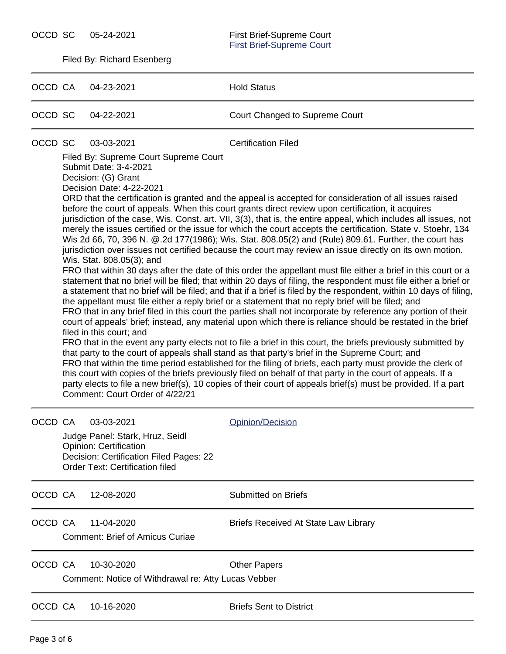OCCD SC 05-24-2021

[First Brief-Supreme Court](https://acefiling.wicourts.gov/document/eFiled/2020AP000940/371653)<br>First Brief-Supreme Court

Filed By: Richard Esenberg

| OCCD CA |                                                                                                                                                                                                                                                                                                                                                                                                                                                                                                                                                                                                                                                                                                                                                                                                                                                                                                                                                                                                                                                                                                                                                                                                                                                                                                                                                                                                                                                                                                                                                                                                                                                                                                                  | 04-23-2021                                                                                                                                                                                                                                                                                                                                                                                                                                                                      | <b>Hold Status</b>                          |  |  |  |  |
|---------|------------------------------------------------------------------------------------------------------------------------------------------------------------------------------------------------------------------------------------------------------------------------------------------------------------------------------------------------------------------------------------------------------------------------------------------------------------------------------------------------------------------------------------------------------------------------------------------------------------------------------------------------------------------------------------------------------------------------------------------------------------------------------------------------------------------------------------------------------------------------------------------------------------------------------------------------------------------------------------------------------------------------------------------------------------------------------------------------------------------------------------------------------------------------------------------------------------------------------------------------------------------------------------------------------------------------------------------------------------------------------------------------------------------------------------------------------------------------------------------------------------------------------------------------------------------------------------------------------------------------------------------------------------------------------------------------------------------|---------------------------------------------------------------------------------------------------------------------------------------------------------------------------------------------------------------------------------------------------------------------------------------------------------------------------------------------------------------------------------------------------------------------------------------------------------------------------------|---------------------------------------------|--|--|--|--|
| OCCD SC |                                                                                                                                                                                                                                                                                                                                                                                                                                                                                                                                                                                                                                                                                                                                                                                                                                                                                                                                                                                                                                                                                                                                                                                                                                                                                                                                                                                                                                                                                                                                                                                                                                                                                                                  | 04-22-2021                                                                                                                                                                                                                                                                                                                                                                                                                                                                      | Court Changed to Supreme Court              |  |  |  |  |
| OCCD SC | <b>Certification Filed</b><br>03-03-2021<br>Filed By: Supreme Court Supreme Court<br>Submit Date: 3-4-2021<br>Decision: (G) Grant<br>Decision Date: 4-22-2021<br>ORD that the certification is granted and the appeal is accepted for consideration of all issues raised<br>before the court of appeals. When this court grants direct review upon certification, it acquires<br>jurisdiction of the case, Wis. Const. art. VII, 3(3), that is, the entire appeal, which includes all issues, not<br>merely the issues certified or the issue for which the court accepts the certification. State v. Stoehr, 134<br>Wis 2d 66, 70, 396 N. @.2d 177(1986); Wis. Stat. 808.05(2) and (Rule) 809.61. Further, the court has<br>jurisdiction over issues not certified because the court may review an issue directly on its own motion.<br>Wis. Stat. 808.05(3); and<br>FRO that within 30 days after the date of this order the appellant must file either a brief in this court or a<br>statement that no brief will be filed; that within 20 days of filing, the respondent must file either a brief or<br>a statement that no brief will be filed; and that if a brief is filed by the respondent, within 10 days of filing,<br>the appellant must file either a reply brief or a statement that no reply brief will be filed; and<br>FRO that in any brief filed in this court the parties shall not incorporate by reference any portion of their<br>court of appeals' brief; instead, any material upon which there is reliance should be restated in the brief<br>filed in this court; and<br>FRO that in the event any party elects not to file a brief in this court, the briefs previously submitted by |                                                                                                                                                                                                                                                                                                                                                                                                                                                                                 |                                             |  |  |  |  |
|         |                                                                                                                                                                                                                                                                                                                                                                                                                                                                                                                                                                                                                                                                                                                                                                                                                                                                                                                                                                                                                                                                                                                                                                                                                                                                                                                                                                                                                                                                                                                                                                                                                                                                                                                  | that party to the court of appeals shall stand as that party's brief in the Supreme Court; and<br>FRO that within the time period established for the filing of briefs, each party must provide the clerk of<br>this court with copies of the briefs previously filed on behalf of that party in the court of appeals. If a<br>party elects to file a new brief(s), 10 copies of their court of appeals brief(s) must be provided. If a part<br>Comment: Court Order of 4/22/21 |                                             |  |  |  |  |
| OCCD CA |                                                                                                                                                                                                                                                                                                                                                                                                                                                                                                                                                                                                                                                                                                                                                                                                                                                                                                                                                                                                                                                                                                                                                                                                                                                                                                                                                                                                                                                                                                                                                                                                                                                                                                                  | 03-03-2021<br>Judge Panel: Stark, Hruz, Seidl<br><b>Opinion: Certification</b><br>Decision: Certification Filed Pages: 22<br><b>Order Text: Certification filed</b>                                                                                                                                                                                                                                                                                                             | <b>Opinion/Decision</b>                     |  |  |  |  |
| OCCD CA |                                                                                                                                                                                                                                                                                                                                                                                                                                                                                                                                                                                                                                                                                                                                                                                                                                                                                                                                                                                                                                                                                                                                                                                                                                                                                                                                                                                                                                                                                                                                                                                                                                                                                                                  | 12-08-2020                                                                                                                                                                                                                                                                                                                                                                                                                                                                      | <b>Submitted on Briefs</b>                  |  |  |  |  |
| OCCD CA |                                                                                                                                                                                                                                                                                                                                                                                                                                                                                                                                                                                                                                                                                                                                                                                                                                                                                                                                                                                                                                                                                                                                                                                                                                                                                                                                                                                                                                                                                                                                                                                                                                                                                                                  | 11-04-2020<br><b>Comment: Brief of Amicus Curiae</b>                                                                                                                                                                                                                                                                                                                                                                                                                            | <b>Briefs Received At State Law Library</b> |  |  |  |  |
| OCCD CA |                                                                                                                                                                                                                                                                                                                                                                                                                                                                                                                                                                                                                                                                                                                                                                                                                                                                                                                                                                                                                                                                                                                                                                                                                                                                                                                                                                                                                                                                                                                                                                                                                                                                                                                  | 10-30-2020<br>Comment: Notice of Withdrawal re: Atty Lucas Vebber                                                                                                                                                                                                                                                                                                                                                                                                               | <b>Other Papers</b>                         |  |  |  |  |
| OCCD CA |                                                                                                                                                                                                                                                                                                                                                                                                                                                                                                                                                                                                                                                                                                                                                                                                                                                                                                                                                                                                                                                                                                                                                                                                                                                                                                                                                                                                                                                                                                                                                                                                                                                                                                                  | 10-16-2020                                                                                                                                                                                                                                                                                                                                                                                                                                                                      | <b>Briefs Sent to District</b>              |  |  |  |  |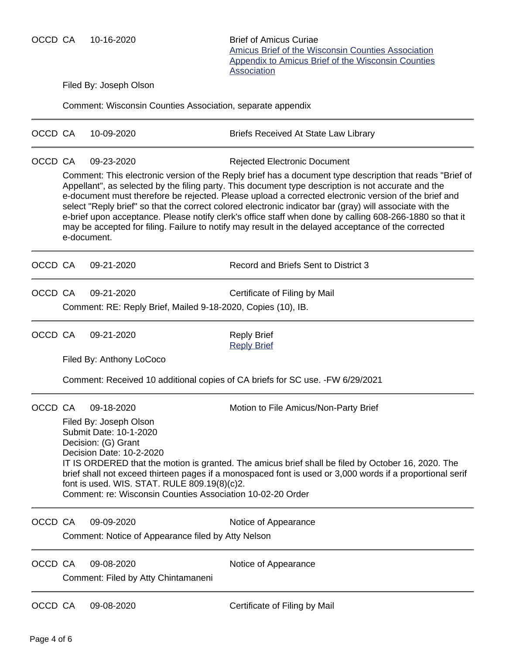OCCD CA 10-16-2020 Brief of Amicus Curiae

[Amicus Brief of the Wisconsin Counties Association](https://acefiling.wicourts.gov/document/eFiled/2020AP000940/297814) [Appendix to Amicus Brief of the Wisconsin Counties](https://acefiling.wicourts.gov/document/eFiled/2020AP000940/297816) **[Association](https://acefiling.wicourts.gov/document/eFiled/2020AP000940/297816)** 

Filed By: Joseph Olson

Comment: Wisconsin Counties Association, separate appendix

| OCCD CA |                                     | 10-09-2020                                                                                                                                                                                                                                                                                                                                                                                                                                                                                                                                                | <b>Briefs Received At State Law Library</b>                                                                                                     |  |  |  |  |
|---------|-------------------------------------|-----------------------------------------------------------------------------------------------------------------------------------------------------------------------------------------------------------------------------------------------------------------------------------------------------------------------------------------------------------------------------------------------------------------------------------------------------------------------------------------------------------------------------------------------------------|-------------------------------------------------------------------------------------------------------------------------------------------------|--|--|--|--|
| OCCD CA |                                     | 09-23-2020                                                                                                                                                                                                                                                                                                                                                                                                                                                                                                                                                | <b>Rejected Electronic Document</b><br>Comment: This electronic version of the Reply brief has a document type description that reads "Brief of |  |  |  |  |
|         |                                     | Appellant", as selected by the filing party. This document type description is not accurate and the<br>e-document must therefore be rejected. Please upload a corrected electronic version of the brief and<br>select "Reply brief" so that the correct colored electronic indicator bar (gray) will associate with the<br>e-brief upon acceptance. Please notify clerk's office staff when done by calling 608-266-1880 so that it<br>may be accepted for filing. Failure to notify may result in the delayed acceptance of the corrected<br>e-document. |                                                                                                                                                 |  |  |  |  |
| OCCD CA |                                     | 09-21-2020                                                                                                                                                                                                                                                                                                                                                                                                                                                                                                                                                | Record and Briefs Sent to District 3                                                                                                            |  |  |  |  |
| OCCD CA |                                     | 09-21-2020                                                                                                                                                                                                                                                                                                                                                                                                                                                                                                                                                | Certificate of Filing by Mail                                                                                                                   |  |  |  |  |
|         |                                     | Comment: RE: Reply Brief, Mailed 9-18-2020, Copies (10), IB.                                                                                                                                                                                                                                                                                                                                                                                                                                                                                              |                                                                                                                                                 |  |  |  |  |
| OCCD CA |                                     | 09-21-2020                                                                                                                                                                                                                                                                                                                                                                                                                                                                                                                                                | <b>Reply Brief</b><br><b>Reply Brief</b>                                                                                                        |  |  |  |  |
|         |                                     | Filed By: Anthony LoCoco                                                                                                                                                                                                                                                                                                                                                                                                                                                                                                                                  |                                                                                                                                                 |  |  |  |  |
|         |                                     | Comment: Received 10 additional copies of CA briefs for SC use. - FW 6/29/2021                                                                                                                                                                                                                                                                                                                                                                                                                                                                            |                                                                                                                                                 |  |  |  |  |
| OCCD CA |                                     | 09-18-2020                                                                                                                                                                                                                                                                                                                                                                                                                                                                                                                                                | Motion to File Amicus/Non-Party Brief                                                                                                           |  |  |  |  |
|         |                                     | Filed By: Joseph Olson<br>Submit Date: 10-1-2020<br>Decision: (G) Grant                                                                                                                                                                                                                                                                                                                                                                                                                                                                                   |                                                                                                                                                 |  |  |  |  |
|         |                                     | Decision Date: 10-2-2020<br>IT IS ORDERED that the motion is granted. The amicus brief shall be filed by October 16, 2020. The                                                                                                                                                                                                                                                                                                                                                                                                                            |                                                                                                                                                 |  |  |  |  |
|         |                                     | brief shall not exceed thirteen pages if a monospaced font is used or 3,000 words if a proportional serif<br>font is used. WIS. STAT. RULE 809.19(8)(c)2.                                                                                                                                                                                                                                                                                                                                                                                                 |                                                                                                                                                 |  |  |  |  |
|         |                                     | Comment: re: Wisconsin Counties Association 10-02-20 Order                                                                                                                                                                                                                                                                                                                                                                                                                                                                                                |                                                                                                                                                 |  |  |  |  |
| OCCD CA |                                     | 09-09-2020                                                                                                                                                                                                                                                                                                                                                                                                                                                                                                                                                | Notice of Appearance                                                                                                                            |  |  |  |  |
|         |                                     | Comment: Notice of Appearance filed by Atty Nelson                                                                                                                                                                                                                                                                                                                                                                                                                                                                                                        |                                                                                                                                                 |  |  |  |  |
| OCCD CA |                                     | 09-08-2020                                                                                                                                                                                                                                                                                                                                                                                                                                                                                                                                                | Notice of Appearance                                                                                                                            |  |  |  |  |
|         | Comment: Filed by Atty Chintamaneni |                                                                                                                                                                                                                                                                                                                                                                                                                                                                                                                                                           |                                                                                                                                                 |  |  |  |  |
| OCCD CA |                                     | 09-08-2020                                                                                                                                                                                                                                                                                                                                                                                                                                                                                                                                                | Certificate of Filing by Mail                                                                                                                   |  |  |  |  |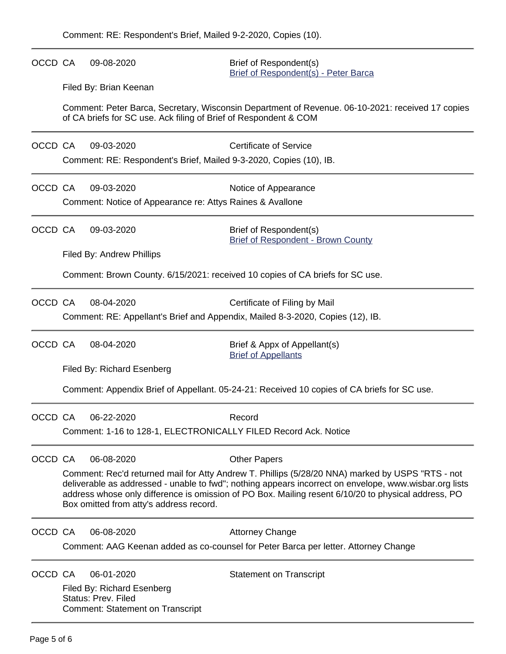OCCD CA 09-08-2020 Brief of Respondent(s) [Brief of Respondent\(s\) - Peter Barca](https://acefiling.wicourts.gov/document/eFiled/2020AP000940/287853) Filed By: Brian Keenan Comment: Peter Barca, Secretary, Wisconsin Department of Revenue. 06-10-2021: received 17 copies of CA briefs for SC use. Ack filing of Brief of Respondent & COM OCCD CA 09-03-2020 Certificate of Service Comment: RE: Respondent's Brief, Mailed 9-3-2020, Copies (10), IB. OCCD CA 09-03-2020 Notice of Appearance Comment: Notice of Appearance re: Attys Raines & Avallone OCCD CA 09-03-2020 Brief of Respondent(s) [Brief of Respondent - Brown County](https://acefiling.wicourts.gov/document/eFiled/2020AP000940/286541) Filed By: Andrew Phillips Comment: Brown County. 6/15/2021: received 10 copies of CA briefs for SC use. OCCD CA 08-04-2020 Certificate of Filing by Mail Comment: RE: Appellant's Brief and Appendix, Mailed 8-3-2020, Copies (12), IB. OCCD CA 08-04-2020 Brief & Appx of Appellant(s) [Brief of Appellants](https://acefiling.wicourts.gov/document/eFiled/2020AP000940/278020) Filed By: Richard Esenberg Comment: Appendix Brief of Appellant. 05-24-21: Received 10 copies of CA briefs for SC use. OCCD CA 06-22-2020 Record Comment: 1-16 to 128-1, ELECTRONICALLY FILED Record Ack. Notice OCCD CA 06-08-2020 Other Papers Comment: Rec'd returned mail for Atty Andrew T. Phillips (5/28/20 NNA) marked by USPS "RTS - not deliverable as addressed - unable to fwd"; nothing appears incorrect on envelope, www.wisbar.org lists address whose only difference is omission of PO Box. Mailing resent 6/10/20 to physical address, PO Box omitted from atty's address record. OCCD CA 06-08-2020 Attorney Change Comment: AAG Keenan added as co-counsel for Peter Barca per letter. Attorney Change OCCD CA 06-01-2020 Statement on Transcript Filed By: Richard Esenberg Status: Prev. Filed Comment: Statement on Transcript